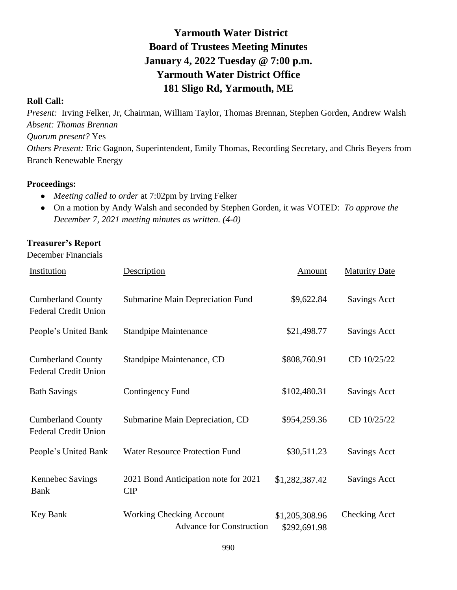# **Yarmouth Water District Board of Trustees Meeting Minutes January 4, 2022 Tuesday @ 7:00 p.m. Yarmouth Water District Office 181 Sligo Rd, Yarmouth, ME**

#### **Roll Call:**

*Present:* Irving Felker, Jr, Chairman, William Taylor, Thomas Brennan, Stephen Gorden, Andrew Walsh *Absent: Thomas Brennan Quorum present?* Yes *Others Present:* Eric Gagnon, Superintendent, Emily Thomas, Recording Secretary, and Chris Beyers from Branch Renewable Energy

#### **Proceedings:**

- *Meeting called to order* at 7:02pm by Irving Felker
- On a motion by Andy Walsh and seconded by Stephen Gorden, it was VOTED: *To approve the December 7, 2021 meeting minutes as written. (4-0)*

## **Treasurer's Report**

December Financials

| Institution                                             | Description                                                        | Amount                         | <b>Maturity Date</b> |
|---------------------------------------------------------|--------------------------------------------------------------------|--------------------------------|----------------------|
| <b>Cumberland County</b><br><b>Federal Credit Union</b> | Submarine Main Depreciation Fund                                   | \$9,622.84                     | Savings Acct         |
| People's United Bank                                    | <b>Standpipe Maintenance</b>                                       | \$21,498.77                    | <b>Savings Acct</b>  |
| <b>Cumberland County</b><br><b>Federal Credit Union</b> | Standpipe Maintenance, CD                                          | \$808,760.91                   | CD 10/25/22          |
| <b>Bath Savings</b>                                     | <b>Contingency Fund</b>                                            | \$102,480.31                   | <b>Savings Acct</b>  |
| <b>Cumberland County</b><br><b>Federal Credit Union</b> | Submarine Main Depreciation, CD                                    | \$954,259.36                   | CD 10/25/22          |
| People's United Bank                                    | <b>Water Resource Protection Fund</b>                              | \$30,511.23                    | <b>Savings Acct</b>  |
| Kennebec Savings<br><b>Bank</b>                         | 2021 Bond Anticipation note for 2021<br>CIP                        | \$1,282,387.42                 | <b>Savings Acct</b>  |
| Key Bank                                                | <b>Working Checking Account</b><br><b>Advance for Construction</b> | \$1,205,308.96<br>\$292,691.98 | <b>Checking Acct</b> |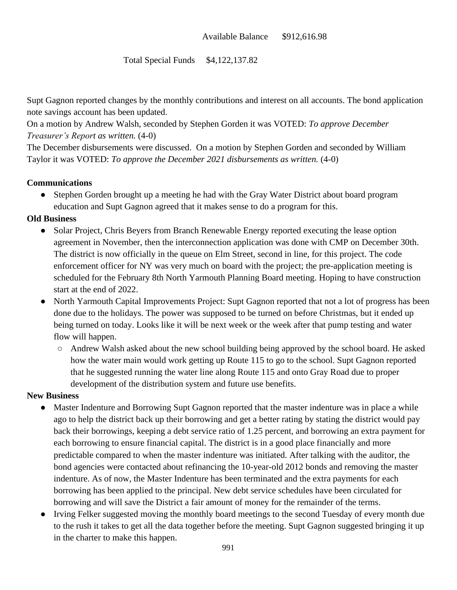#### Total Special Funds \$4,122,137.82

Supt Gagnon reported changes by the monthly contributions and interest on all accounts. The bond application note savings account has been updated.

On a motion by Andrew Walsh, seconded by Stephen Gorden it was VOTED: *To approve December Treasurer's Report as written.* (4-0)

The December disbursements were discussed. On a motion by Stephen Gorden and seconded by William Taylor it was VOTED: *To approve the December 2021 disbursements as written.* (4-0)

#### **Communications**

• Stephen Gorden brought up a meeting he had with the Gray Water District about board program education and Supt Gagnon agreed that it makes sense to do a program for this.

#### **Old Business**

- Solar Project, Chris Beyers from Branch Renewable Energy reported executing the lease option agreement in November, then the interconnection application was done with CMP on December 30th. The district is now officially in the queue on Elm Street, second in line, for this project. The code enforcement officer for NY was very much on board with the project; the pre-application meeting is scheduled for the February 8th North Yarmouth Planning Board meeting. Hoping to have construction start at the end of 2022.
- North Yarmouth Capital Improvements Project: Supt Gagnon reported that not a lot of progress has been done due to the holidays. The power was supposed to be turned on before Christmas, but it ended up being turned on today. Looks like it will be next week or the week after that pump testing and water flow will happen.
	- Andrew Walsh asked about the new school building being approved by the school board. He asked how the water main would work getting up Route 115 to go to the school. Supt Gagnon reported that he suggested running the water line along Route 115 and onto Gray Road due to proper development of the distribution system and future use benefits.

#### **New Business**

- Master Indenture and Borrowing Supt Gagnon reported that the master indenture was in place a while ago to help the district back up their borrowing and get a better rating by stating the district would pay back their borrowings, keeping a debt service ratio of 1.25 percent, and borrowing an extra payment for each borrowing to ensure financial capital. The district is in a good place financially and more predictable compared to when the master indenture was initiated. After talking with the auditor, the bond agencies were contacted about refinancing the 10-year-old 2012 bonds and removing the master indenture. As of now, the Master Indenture has been terminated and the extra payments for each borrowing has been applied to the principal. New debt service schedules have been circulated for borrowing and will save the District a fair amount of money for the remainder of the terms.
- Irving Felker suggested moving the monthly board meetings to the second Tuesday of every month due to the rush it takes to get all the data together before the meeting. Supt Gagnon suggested bringing it up in the charter to make this happen.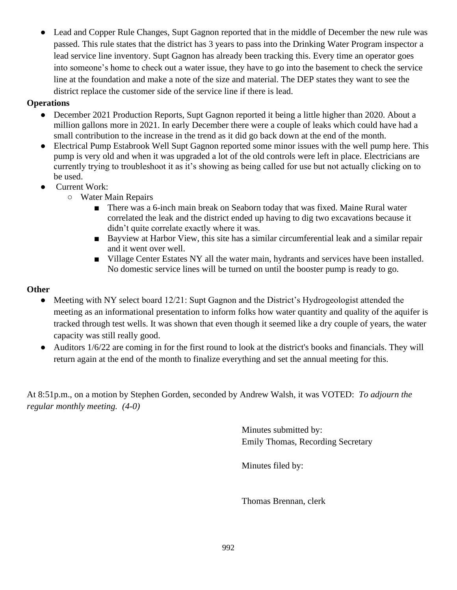Lead and Copper Rule Changes, Supt Gagnon reported that in the middle of December the new rule was passed. This rule states that the district has 3 years to pass into the Drinking Water Program inspector a lead service line inventory. Supt Gagnon has already been tracking this. Every time an operator goes into someone's home to check out a water issue, they have to go into the basement to check the service line at the foundation and make a note of the size and material. The DEP states they want to see the district replace the customer side of the service line if there is lead.

## **Operations**

- December 2021 Production Reports, Supt Gagnon reported it being a little higher than 2020. About a million gallons more in 2021. In early December there were a couple of leaks which could have had a small contribution to the increase in the trend as it did go back down at the end of the month.
- Electrical Pump Estabrook Well Supt Gagnon reported some minor issues with the well pump here. This pump is very old and when it was upgraded a lot of the old controls were left in place. Electricians are currently trying to troubleshoot it as it's showing as being called for use but not actually clicking on to be used.
- **Current Work:** 
	- Water Main Repairs
		- There was a 6-inch main break on Seaborn today that was fixed. Maine Rural water correlated the leak and the district ended up having to dig two excavations because it didn't quite correlate exactly where it was.
		- Bayview at Harbor View, this site has a similar circumferential leak and a similar repair and it went over well.
		- Village Center Estates NY all the water main, hydrants and services have been installed. No domestic service lines will be turned on until the booster pump is ready to go.

# **Other**

- Meeting with NY select board 12/21: Supt Gagnon and the District's Hydrogeologist attended the meeting as an informational presentation to inform folks how water quantity and quality of the aquifer is tracked through test wells. It was shown that even though it seemed like a dry couple of years, the water capacity was still really good.
- Auditors 1/6/22 are coming in for the first round to look at the district's books and financials. They will return again at the end of the month to finalize everything and set the annual meeting for this.

At 8:51p.m., on a motion by Stephen Gorden, seconded by Andrew Walsh, it was VOTED: *To adjourn the regular monthly meeting. (4-0)*

> Minutes submitted by: Emily Thomas, Recording Secretary

Minutes filed by:

Thomas Brennan, clerk